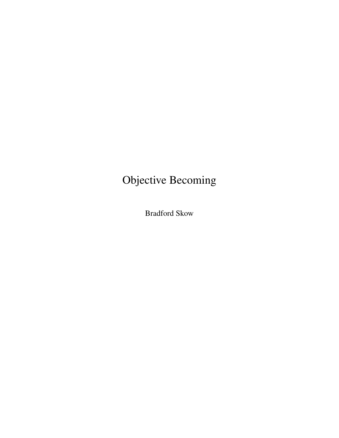## <span id="page-0-0"></span>Objective Becoming

**Bradford Skow**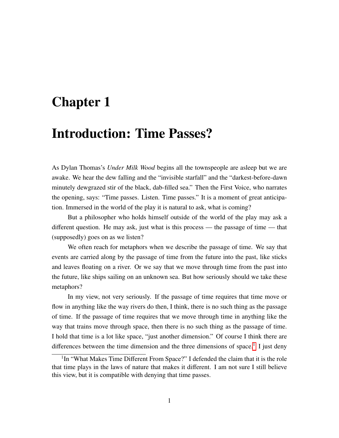## Chapter 1

## Introduction: Time Passes?

As Dylan Thomas's *Under Milk Wood* begins all the townspeople are asleep but we are awake. We hear the dew falling and the "invisible starfall" and the "darkest-before-dawn minutely dewgrazed stir of the black, dab-filled sea." Then the First Voice, who narrates the opening, says: "Time passes. Listen. Time passes." It is a moment of great anticipation. Immersed in the world of the play it is natural to ask, what is coming?

But a philosopher who holds himself outside of the world of the play may ask a different question. He may ask, just what is this process — the passage of time — that (supposedly) goes on as we listen?

We often reach for metaphors when we describe the passage of time. We say that events are carried along by the passage of time from the future into the past, like sticks and leaves floating on a river. Or we say that we move through time from the past into the future, like ships sailing on an unknown sea. But how seriously should we take these metaphors?

In my view, not very seriously. If the passage of time requires that time move or flow in anything like the way rivers do then, I think, there is no such thing as the passage of time. If the passage of time requires that we move through time in anything like the way that trains move through space, then there is no such thing as the passage of time. I hold that time is a lot like space, "just another dimension." Of course I think there are differences between the time dimension and the three dimensions of space.<sup>[1]</sup> I just deny

<span id="page-1-0"></span> $1$ In "What Makes Time Different From Space?" I defended the claim that it is the role that time plays in the laws of nature that makes it different. I am not sure I still believe this view, but it is compatible with denying that time passes.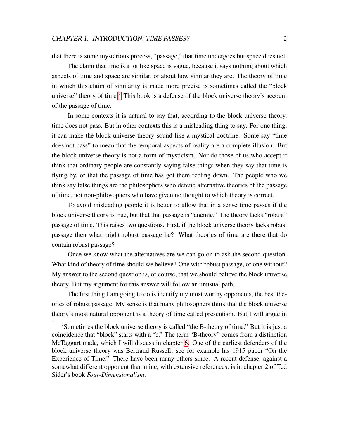that there is some mysterious process, "passage," that time undergoes but space does not.

The claim that time is a lot like space is vague, because it says nothing about which aspects of time and space are similar, or about how similar they are. The theory of time in which this claim of similarity is made more precise is sometimes called the "block universe" theory of time.<sup>2</sup> This book is a defense of the block universe theory's account of the passage of time.

In some contexts it is natural to say that, according to the block universe theory, time does not pass. But in other contexts this is a misleading thing to say. For one thing, it can make the block universe theory sound like a mystical doctrine. Some say "time does not pass" to mean that the temporal aspects of reality are a complete illusion. But the block universe theory is not a form of mysticism. Nor do those of us who accept it think that ordinary people are constantly saying false things when they say that time is flying by, or that the passage of time has got them feeling down. The people who we think say false things are the philosophers who defend alternative theories of the passage of time, not non-philosophers who have given no thought to which theory is correct.

To avoid misleading people it is better to allow that in a sense time passes if the block universe theory is true, but that that passage is "anemic." The theory lacks "robust" passage of time. This raises two questions. First, if the block universe theory lacks robust passage then what might robust passage be? What theories of time are there that do contain robust passage?

Once we know what the alternatives are we can go on to ask the second question. What kind of theory of time should we believe? One with robust passage, or one without? My answer to the second question is, of course, that we should believe the block universe theory. But my argument for this answer will follow an unusual path.

The first thing I am going to do is identify my most worthy opponents, the best theories of robust passage. My sense is that many philosophers think that the block universe theory's most natural opponent is a theory of time called presentism. But I will argue in

<span id="page-2-0"></span><sup>&</sup>lt;sup>2</sup>Sometimes the block universe theory is called "the B-theory of time." But it is just a coincidence that "block" starts with a "b." The term "B-theory" comes from a distinction McTaggart made, which I will discuss in chapter  $\overline{6}$ . One of the earliest defenders of the block universe theory was Bertrand Russell; see for example his 1915 paper "On the Experience of Time." There have been many others since. A recent defense, against a somewhat different opponent than mine, with extensive references, is in chapter 2 of Ted Sider's book *Four-Dimensionalism*.